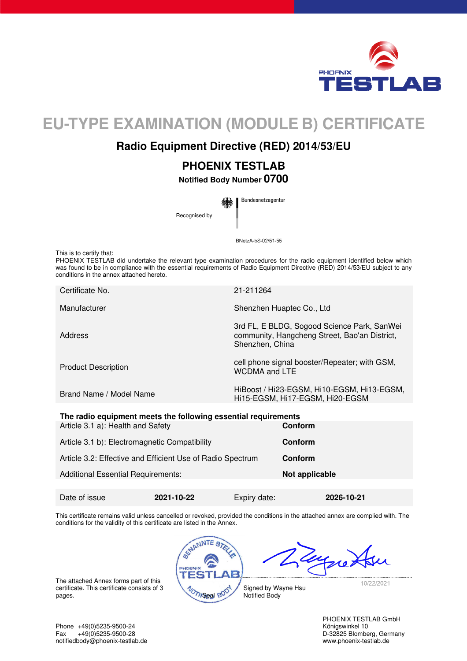

# **EU-TYPE EXAMINATION (MODULE B) CERTIFICATE**

## **Radio Equipment Directive (RED) 2014/53/EU**

## **PHOENIX TESTLAB**

**Notified Body Number 0700** 

Bundesnetzagentur Recognised by

BNetzA-bS-02/51-55

This is to certify that:

PHOENIX TESTLAB did undertake the relevant type examination procedures for the radio equipment identified below which was found to be in compliance with the essential requirements of Radio Equipment Directive (RED) 2014/53/EU subject to any conditions in the annex attached hereto.

| Certificate No.            | 21-211264                                                                                                       |
|----------------------------|-----------------------------------------------------------------------------------------------------------------|
| Manufacturer               | Shenzhen Huaptec Co., Ltd                                                                                       |
| Address                    | 3rd FL, E BLDG, Sogood Science Park, SanWei<br>community, Hangcheng Street, Bao'an District,<br>Shenzhen, China |
| <b>Product Description</b> | cell phone signal booster/Repeater; with GSM,<br><b>WCDMA</b> and LTE                                           |
| Brand Name / Model Name    | HiBoost / Hi23-EGSM, Hi10-EGSM, Hi13-EGSM,<br>Hi15-EGSM, Hi17-EGSM, Hi20-EGSM                                   |
|                            |                                                                                                                 |

| The radio equipment meets the following essential requirements |            |                |         |            |  |  |
|----------------------------------------------------------------|------------|----------------|---------|------------|--|--|
| Article 3.1 a): Health and Safety                              |            |                | Conform |            |  |  |
| Article 3.1 b): Electromagnetic Compatibility                  |            |                | Conform |            |  |  |
| Article 3.2: Effective and Efficient Use of Radio Spectrum     |            |                | Conform |            |  |  |
| <b>Additional Essential Requirements:</b>                      |            | Not applicable |         |            |  |  |
| Date of issue                                                  | 2021-10-22 | Expiry date:   |         | 2026-10-21 |  |  |

This certificate remains valid unless cancelled or revoked, provided the conditions in the attached annex are complied with. The conditions for the validity of this certificate are listed in the Annex.



The attached Annex forms part of this certificate. This certificate consists of 3 certificate. This certificate consists of 3<br>pages.  $\frac{20}{20}$  and  $\frac{20}{20}$ 

PHOENIX TESTLAB GmbH

Phone +49(0)5235-9500-24 Königswinkel 10 Fax +49(0)5235-9500-28 D-32825 Blomberg, Germany<br>
notifiedbody@phoenix-testlab.de<br>
www.phoenix-testlab.de notifiedbody@phoenix-testlab.de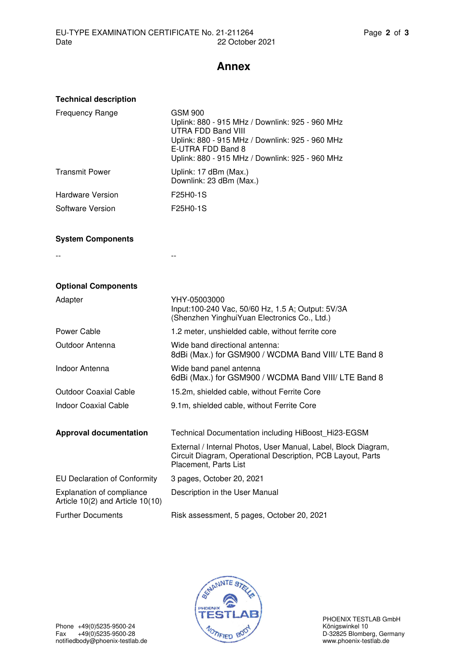## **Annex**

| <b>Technical description</b>                                             |                                                                                                                                                                                                                           |
|--------------------------------------------------------------------------|---------------------------------------------------------------------------------------------------------------------------------------------------------------------------------------------------------------------------|
| <b>Frequency Range</b>                                                   | <b>GSM 900</b><br>Uplink: 880 - 915 MHz / Downlink: 925 - 960 MHz<br><b>UTRA FDD Band VIII</b><br>Uplink: 880 - 915 MHz / Downlink: 925 - 960 MHz<br>E-UTRA FDD Band 8<br>Uplink: 880 - 915 MHz / Downlink: 925 - 960 MHz |
| <b>Transmit Power</b>                                                    | Uplink: 17 dBm (Max.)<br>Downlink: 23 dBm (Max.)                                                                                                                                                                          |
| <b>Hardware Version</b>                                                  | F25H0-1S                                                                                                                                                                                                                  |
| Software Version                                                         | F25H0-1S                                                                                                                                                                                                                  |
| <b>System Components</b>                                                 |                                                                                                                                                                                                                           |
|                                                                          |                                                                                                                                                                                                                           |
|                                                                          |                                                                                                                                                                                                                           |
| <b>Optional Components</b>                                               |                                                                                                                                                                                                                           |
| Adapter                                                                  | YHY-05003000<br>Input:100-240 Vac, 50/60 Hz, 1.5 A; Output: 5V/3A<br>(Shenzhen YinghuiYuan Electronics Co., Ltd.)                                                                                                         |
| Power Cable                                                              | 1.2 meter, unshielded cable, without ferrite core                                                                                                                                                                         |
| Outdoor Antenna                                                          | Wide band directional antenna:<br>8dBi (Max.) for GSM900 / WCDMA Band VIII/ LTE Band 8                                                                                                                                    |
| Indoor Antenna                                                           | Wide band panel antenna<br>6dBi (Max.) for GSM900 / WCDMA Band VIII/ LTE Band 8                                                                                                                                           |
| <b>Outdoor Coaxial Cable</b>                                             | 15.2m, shielded cable, without Ferrite Core                                                                                                                                                                               |
| <b>Indoor Coaxial Cable</b>                                              | 9.1m, shielded cable, without Ferrite Core                                                                                                                                                                                |
| <b>Approval documentation</b>                                            | Technical Documentation including HiBoost Hi23-EGSM                                                                                                                                                                       |
|                                                                          | External / Internal Photos, User Manual, Label, Block Diagram,<br>Circuit Diagram, Operational Description, PCB Layout, Parts<br>Placement, Parts List                                                                    |
| <b>EU Declaration of Conformity</b>                                      | 3 pages, October 20, 2021                                                                                                                                                                                                 |
| <b>Explanation of compliance</b><br>Article $10(2)$ and Article $10(10)$ | Description in the User Manual                                                                                                                                                                                            |
| <b>Further Documents</b>                                                 | Risk assessment, 5 pages, October 20, 2021                                                                                                                                                                                |